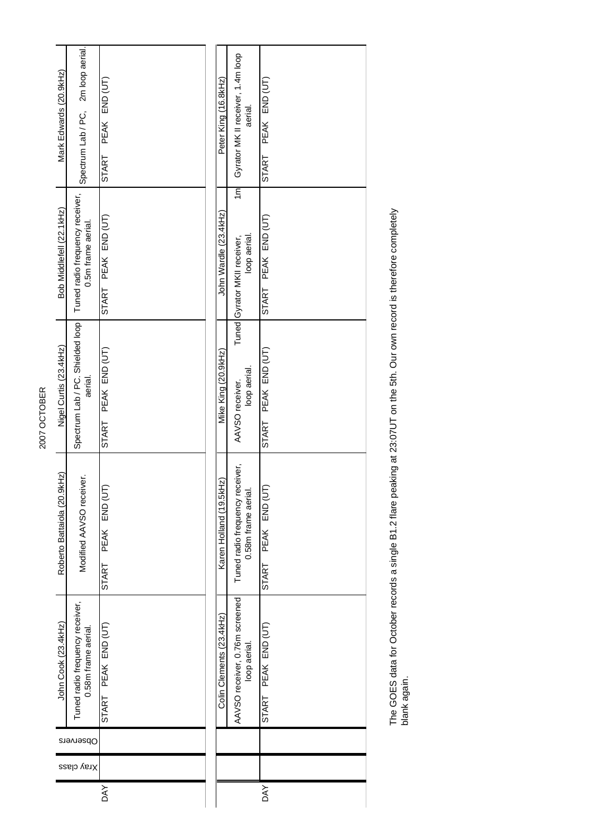| Mark Edwards (20.9kHz)      | Spectrum Lab / PC, 2m loop aerial                      | PEAK END (UT)                 |  | Peter King (16.8kHz)     | Gyrator MK II receiver, 1.4m loop<br>aerial.                   | PEAK END (UT)       |
|-----------------------------|--------------------------------------------------------|-------------------------------|--|--------------------------|----------------------------------------------------------------|---------------------|
|                             |                                                        | START                         |  |                          |                                                                | START               |
| Bob Middlefell (22.1kHz)    | Tuned radio frequency receiver,<br>0.5m frame aerial.  | START PEAK END (UT)           |  | John Wardle (23.4kHz)    | $\overline{m}$<br>loop aerial.<br>Tuned Gyrator MKII receiver, | START PEAK END (UT) |
| Nigel Curtis (23.4kHz)      | Spectrum Lab / PC. Shielded loop<br>aerial.            | PEAK END (UT)<br><b>START</b> |  | Mike King (20.9kHz)      | loop aerial.<br>AAVSO receiver.                                | START PEAK END (UT) |
| Roberto Battaiola (20.9kHz) | Modified AAVSO receiver.                               | PEAK END (UT)<br>START        |  | Karen Holland (19.5kHz)  | Tuned radio frequency receiver,<br>0.58m frame aerial.         | START PEAK END (UT) |
| John Cook (23.4kHz)         | Tuned radio frequency receiver,<br>0.58m frame aerial. | START PEAK END (UT)           |  | Colin Clements (23.4kHz) | AAVSO receiver, 0.76m screened<br>loop aerial.                 | START PEAK END (UT) |
| Observers                   |                                                        |                               |  |                          |                                                                |                     |
|                             | Xray class                                             |                               |  |                          |                                                                |                     |
|                             |                                                        | DAY                           |  |                          |                                                                | <b>DAY</b>          |

The GOES data for October records a single B1.2 flare peaking at 23:07UT on the 5th. Our own record is therefore completely<br>blank again. The GOES data for October records a single B1.2 flare peaking at 23:07UT on the 5th. Our own record is therefore completely blank again.

2007 OCTOBER 2007 OCTOBER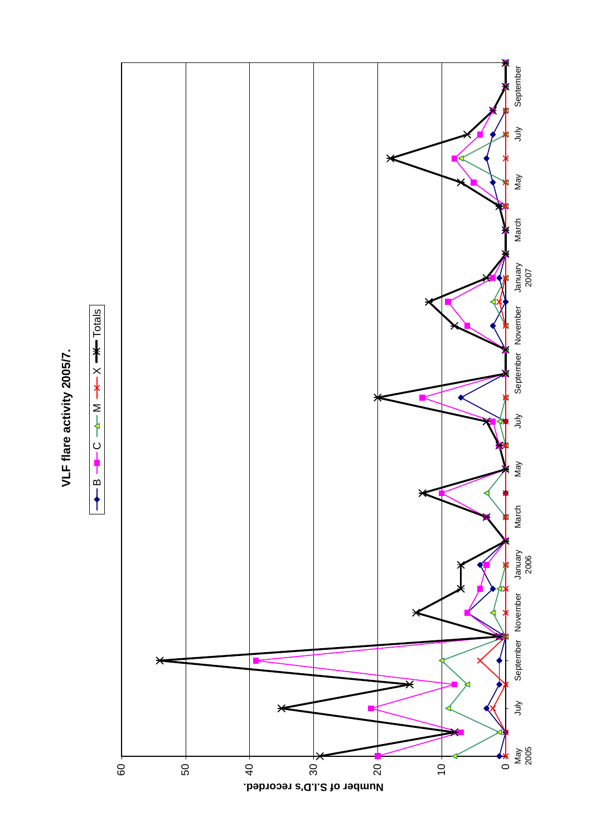## VLF flare activity 2005/7. **VLF flare activity 2005/7.**



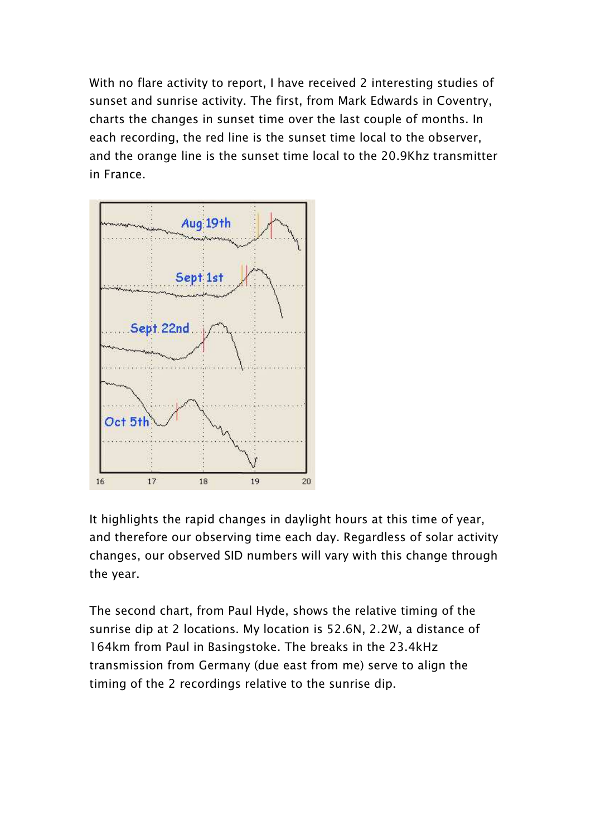With no flare activity to report, I have received 2 interesting studies of sunset and sunrise activity. The first, from Mark Edwards in Coventry, charts the changes in sunset time over the last couple of months. In each recording, the red line is the sunset time local to the observer, and the orange line is the sunset time local to the 20.9Khz transmitter in France.



It highlights the rapid changes in daylight hours at this time of year, and therefore our observing time each day. Regardless of solar activity changes, our observed SID numbers will vary with this change through the year.

The second chart, from Paul Hyde, shows the relative timing of the sunrise dip at 2 locations. My location is 52.6N, 2.2W, a distance of 164km from Paul in Basingstoke. The breaks in the 23.4kHz transmission from Germany (due east from me) serve to align the timing of the 2 recordings relative to the sunrise dip.